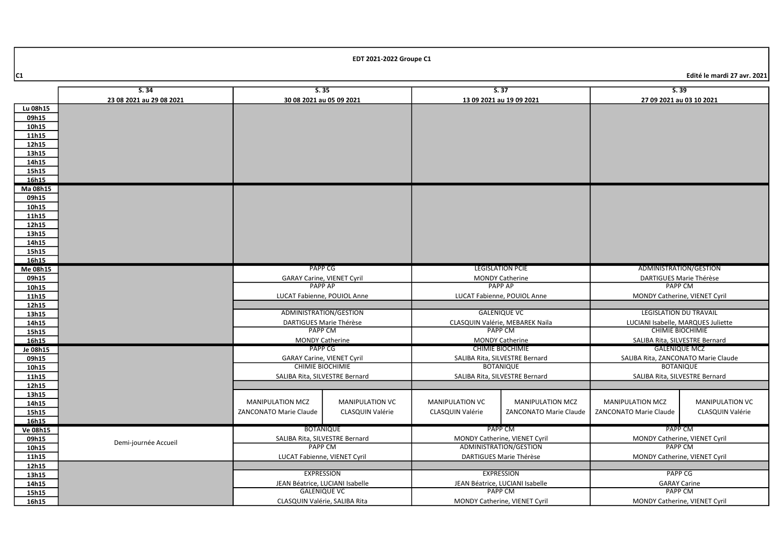|                   | 5.35<br>S.34                      |                                                      |                         | 5.37                                               |                                 | 5.39                                                    |                        |
|-------------------|-----------------------------------|------------------------------------------------------|-------------------------|----------------------------------------------------|---------------------------------|---------------------------------------------------------|------------------------|
|                   | 23 08 2021 au 29 08 2021          | 30 08 2021 au 05 09 2021<br>13 09 2021 au 19 09 2021 |                         | 27 09 2021 au 03 10 2021                           |                                 |                                                         |                        |
| Lu 08h15          |                                   |                                                      |                         |                                                    |                                 |                                                         |                        |
| 09h15             |                                   |                                                      |                         |                                                    |                                 |                                                         |                        |
| 10h15             |                                   |                                                      |                         |                                                    |                                 |                                                         |                        |
| 11h15             |                                   |                                                      |                         |                                                    |                                 |                                                         |                        |
| 12h15             |                                   |                                                      |                         |                                                    |                                 |                                                         |                        |
| 13h15             |                                   |                                                      |                         |                                                    |                                 |                                                         |                        |
| 14h15             |                                   |                                                      |                         |                                                    |                                 |                                                         |                        |
| 15h15             |                                   |                                                      |                         |                                                    |                                 |                                                         |                        |
| 16h15             |                                   |                                                      |                         |                                                    |                                 |                                                         |                        |
| Ma 08h15          |                                   |                                                      |                         |                                                    |                                 |                                                         |                        |
| 09h15             |                                   |                                                      |                         |                                                    |                                 |                                                         |                        |
| 10h15             |                                   |                                                      |                         |                                                    |                                 |                                                         |                        |
| 11h15             |                                   |                                                      |                         |                                                    |                                 |                                                         |                        |
| 12h15             |                                   |                                                      |                         |                                                    |                                 |                                                         |                        |
| 13h15             |                                   |                                                      |                         |                                                    |                                 |                                                         |                        |
| 14h15             |                                   |                                                      |                         |                                                    |                                 |                                                         |                        |
| 15h15             |                                   |                                                      |                         |                                                    |                                 |                                                         |                        |
| 16h15             |                                   |                                                      |                         |                                                    |                                 |                                                         |                        |
| Me 08h15          | <b>PAPP CG</b>                    |                                                      | <b>LEGISLATION PCIE</b> |                                                    | ADMINISTRATION/GESTION          |                                                         |                        |
| 09h15             | <b>GARAY Carine, VIENET Cyril</b> |                                                      | <b>MONDY Catherine</b>  |                                                    | DARTIGUES Marie Thérèse         |                                                         |                        |
| 10h15             |                                   | <b>PAPP AP</b>                                       |                         | <b>PAPP AP</b>                                     |                                 | <b>PAPP CM</b>                                          |                        |
| 11h15             |                                   | LUCAT Fabienne, POUIOL Anne                          |                         |                                                    | LUCAT Fabienne, POUIOL Anne     | MONDY Catherine, VIENET Cyril                           |                        |
| 12h15             |                                   |                                                      |                         |                                                    |                                 |                                                         |                        |
| 13h15             |                                   | ADMINISTRATION/GESTION                               |                         |                                                    | <b>GALENIQUE VC</b>             | <b>LEGISLATION DU TRAVAIL</b>                           |                        |
| 14h15             |                                   | DARTIGUES Marie Thérèse                              |                         |                                                    | CLASQUIN Valérie, MEBAREK Naila | LUCIANI Isabelle, MARQUES Juliette                      |                        |
| 15h15             |                                   | PAPP CM                                              |                         |                                                    | PAPP CM                         | <b>CHIMIE BIOCHIMIE</b>                                 |                        |
| 16h15             |                                   | MONDY Catherine                                      |                         |                                                    | <b>MONDY Catherine</b>          | SALIBA Rita, SILVESTRE Bernard                          |                        |
| Je 08h15          |                                   | PAPP CG                                              |                         | <b>CHIMIE BIOCHIMIE</b>                            |                                 | <b>GALENIQUE MCZ</b>                                    |                        |
| 09h15             |                                   | <b>GARAY Carine, VIENET Cyril</b>                    |                         | SALIBA Rita, SILVESTRE Bernard<br><b>BOTANIQUE</b> |                                 | SALIBA Rita, ZANCONATO Marie Claude<br><b>BOTANIQUE</b> |                        |
| 10h15             |                                   | <b>CHIMIE BIOCHIMIE</b>                              |                         |                                                    |                                 |                                                         |                        |
| 11h15             |                                   | SALIBA Rita, SILVESTRE Bernard                       |                         | SALIBA Rita, SILVESTRE Bernard                     |                                 | SALIBA Rita, SILVESTRE Bernard                          |                        |
| 12h15             |                                   |                                                      |                         |                                                    |                                 |                                                         |                        |
| 13h15             |                                   | MANIPULATION MCZ                                     | <b>MANIPULATION VC</b>  | <b>MANIPULATION VC</b>                             | MANIPULATION MCZ                | <b>MANIPULATION MCZ</b>                                 | <b>MANIPULATION VC</b> |
| 14h15             |                                   |                                                      |                         |                                                    |                                 |                                                         |                        |
| 15h15             |                                   | ZANCONATO Marie Claude                               | CLASQUIN Valérie        | CLASQUIN Valérie                                   | ZANCONATO Marie Claude          | ZANCONATO Marie Claude                                  | CLASQUIN Valérie       |
| 16h15             |                                   |                                                      |                         |                                                    | PAPP CM                         | PAPP CM                                                 |                        |
| Ve 08h15<br>09h15 |                                   | <b>BOTANIQUE</b>                                     |                         | MONDY Catherine, VIENET Cyril                      |                                 | MONDY Catherine, VIENET Cyril                           |                        |
| 10h15             | Demi-journée Accueil              | SALIBA Rita, SILVESTRE Bernard<br><b>PAPP CM</b>     |                         | ADMINISTRATION/GESTION                             |                                 | <b>PAPP CM</b>                                          |                        |
| 11h15             |                                   | LUCAT Fabienne, VIENET Cyril                         |                         | DARTIGUES Marie Thérèse                            |                                 | MONDY Catherine, VIENET Cyril                           |                        |
| 12h15             |                                   |                                                      |                         |                                                    |                                 |                                                         |                        |
| 13h15             |                                   | <b>EXPRESSION</b>                                    |                         | <b>EXPRESSION</b>                                  |                                 | <b>PAPP CG</b>                                          |                        |
| 14h15             |                                   | JEAN Béatrice, LUCIANI Isabelle                      |                         | JEAN Béatrice, LUCIANI Isabelle                    |                                 | <b>GARAY Carine</b>                                     |                        |
| 15h15             |                                   | <b>GALENIQUE VC</b>                                  |                         | <b>PAPP CM</b>                                     |                                 | <b>PAPP CM</b>                                          |                        |
| 16h15             |                                   | CLASQUIN Valérie, SALIBA Rita                        |                         | MONDY Catherine, VIENET Cyril                      |                                 | MONDY Catherine, VIENET Cyril                           |                        |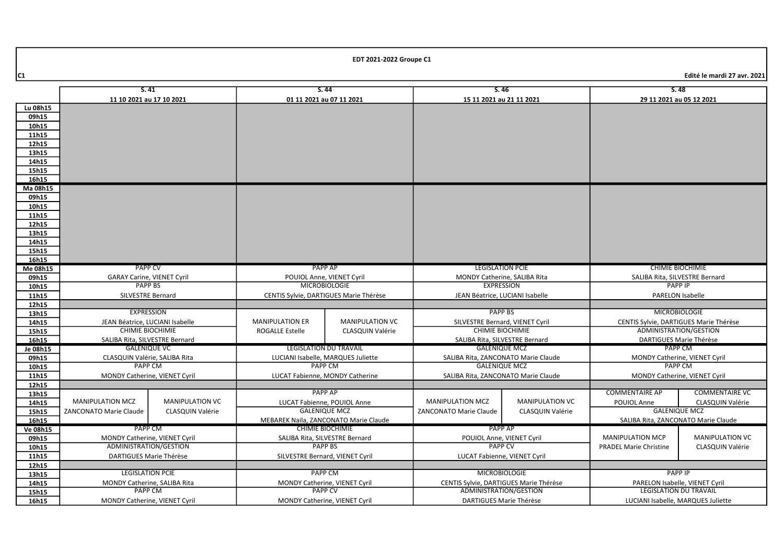|                | S.41                                                |                         | S.44                                  |                                        | S.46                                                       |                        | S.48                                                             |                               |
|----------------|-----------------------------------------------------|-------------------------|---------------------------------------|----------------------------------------|------------------------------------------------------------|------------------------|------------------------------------------------------------------|-------------------------------|
|                | 11 10 2021 au 17 10 2021                            |                         | 01 11 2021 au 07 11 2021              |                                        | 15 11 2021 au 21 11 2021                                   |                        | 29 11 2021 au 05 12 2021                                         |                               |
| Lu 08h15       |                                                     |                         |                                       |                                        |                                                            |                        |                                                                  |                               |
| 09h15          |                                                     |                         |                                       |                                        |                                                            |                        |                                                                  |                               |
| 10h15          |                                                     |                         |                                       |                                        |                                                            |                        |                                                                  |                               |
| 11h15          |                                                     |                         |                                       |                                        |                                                            |                        |                                                                  |                               |
| 12h15          |                                                     |                         |                                       |                                        |                                                            |                        |                                                                  |                               |
| 13h15          |                                                     |                         |                                       |                                        |                                                            |                        |                                                                  |                               |
| 14h15          |                                                     |                         |                                       |                                        |                                                            |                        |                                                                  |                               |
| 15h15          |                                                     |                         |                                       |                                        |                                                            |                        |                                                                  |                               |
| 16h15          |                                                     |                         |                                       |                                        |                                                            |                        |                                                                  |                               |
| Ma 08h15       |                                                     |                         |                                       |                                        |                                                            |                        |                                                                  |                               |
| 09h15          |                                                     |                         |                                       |                                        |                                                            |                        |                                                                  |                               |
| 10h15          |                                                     |                         |                                       |                                        |                                                            |                        |                                                                  |                               |
| 11h15          |                                                     |                         |                                       |                                        |                                                            |                        |                                                                  |                               |
| 12h15          |                                                     |                         |                                       |                                        |                                                            |                        |                                                                  |                               |
| 13h15          |                                                     |                         |                                       |                                        |                                                            |                        |                                                                  |                               |
| 14h15          |                                                     |                         |                                       |                                        |                                                            |                        |                                                                  |                               |
| 15h15          |                                                     |                         |                                       |                                        |                                                            |                        |                                                                  |                               |
| 16h15          |                                                     |                         |                                       |                                        |                                                            |                        |                                                                  |                               |
| Me 08h15       | <b>PAPP CV</b>                                      |                         | <b>PAPP AP</b>                        |                                        | <b>LEGISLATION PCIE</b>                                    |                        | <b>CHIMIE BIOCHIMIE</b>                                          |                               |
| 09h15          | <b>GARAY Carine, VIENET Cyril</b>                   |                         | POUIOL Anne, VIENET Cyril             |                                        | MONDY Catherine, SALIBA Rita                               |                        | SALIBA Rita, SILVESTRE Bernard                                   |                               |
| 10h15          | PAPP BS                                             |                         | <b>MICROBIOLOGIE</b>                  |                                        | <b>EXPRESSION</b>                                          |                        | <b>PAPP IP</b>                                                   |                               |
| 11h15          | SILVESTRE Bernard                                   |                         |                                       | CENTIS Sylvie, DARTIGUES Marie Thérèse | JEAN Béatrice, LUCIANI Isabelle                            |                        | <b>PARELON Isabelle</b>                                          |                               |
| 12h15          |                                                     |                         |                                       |                                        |                                                            |                        |                                                                  |                               |
| 13h15          | <b>EXPRESSION</b>                                   |                         |                                       |                                        | <b>PAPP BS</b>                                             |                        | <b>MICROBIOLOGIE</b>                                             |                               |
| 14h15          | JEAN Béatrice, LUCIANI Isabelle                     |                         | <b>MANIPULATION ER</b>                | <b>MANIPULATION VC</b>                 | SILVESTRE Bernard, VIENET Cyril<br><b>CHIMIE BIOCHIMIE</b> |                        | CENTIS Sylvie, DARTIGUES Marie Thérèse<br>ADMINISTRATION/GESTION |                               |
| 15h15          | <b>CHIMIE BIOCHIMIE</b>                             |                         | <b>ROGALLE Estelle</b>                | CLASQUIN Valérie                       |                                                            |                        |                                                                  |                               |
| 16h15          | SALIBA Rita, SILVESTRE Bernard                      |                         |                                       | <b>LEGISLATION DU TRAVAIL</b>          | SALIBA Rita, SILVESTRE Bernard<br><b>GALENIQUE MCZ</b>     |                        | DARTIGUES Marie Thérèse<br><b>PAPP CM</b>                        |                               |
| Je 08h15       | <b>GALENIQUE VC</b>                                 |                         | LUCIANI Isabelle, MARQUES Juliette    |                                        | SALIBA Rita, ZANCONATO Marie Claude                        |                        |                                                                  |                               |
| 09h15<br>10h15 | CLASQUIN Valérie, SALIBA Rita<br>PAPP <sub>CM</sub> |                         | <b>PAPP CM</b>                        |                                        | <b>GALENIQUE MCZ</b>                                       |                        | MONDY Catherine, VIENET Cyril<br><b>PAPP CM</b>                  |                               |
| 11h15          | MONDY Catherine, VIENET Cyril                       |                         | LUCAT Fabienne. MONDY Catherine       |                                        | SALIBA Rita, ZANCONATO Marie Claude                        |                        | MONDY Catherine, VIENET Cyril                                    |                               |
| 12h15          |                                                     |                         |                                       |                                        |                                                            |                        |                                                                  |                               |
| 13h15          |                                                     |                         |                                       | PAPP AP                                |                                                            |                        | <b>COMMENTAIRE AP</b>                                            | <b>COMMENTAIRE VC</b>         |
| 14h15          | <b>MANIPULATION MCZ</b>                             | <b>MANIPULATION VC</b>  |                                       | LUCAT Fabienne, POUIOL Anne            | <b>MANIPULATION MCZ</b>                                    | <b>MANIPULATION VC</b> | POUIOL Anne                                                      | <b>CLASQUIN Valérie</b>       |
| 15h15          | <b>ZANCONATO Marie Claude</b>                       | <b>CLASQUIN Valérie</b> |                                       | <b>GALENIQUE MCZ</b>                   | <b>ZANCONATO Marie Claude</b>                              | CLASQUIN Valérie       | <b>GALENIQUE MCZ</b>                                             |                               |
| 16h15          |                                                     |                         | MEBAREK Naila, ZANCONATO Marie Claude |                                        |                                                            |                        | SALIBA Rita, ZANCONATO Marie Claude                              |                               |
| Ve 08h15       | PAPP CM                                             |                         | <b>CHIMIE BIOCHIMIE</b>               |                                        | <b>PAPP AP</b>                                             |                        |                                                                  |                               |
| 09h15          | MONDY Catherine, VIENET Cyril                       |                         | SALIBA Rita, SILVESTRE Bernard        |                                        | POUIOL Anne, VIENET Cyril                                  |                        | <b>MANIPULATION MCP</b>                                          | <b>MANIPULATION VC</b>        |
| 10h15          | ADMINISTRATION/GESTION                              |                         |                                       | <b>PAPP BS</b>                         |                                                            | <b>PAPP CV</b>         |                                                                  | <b>CLASQUIN Valérie</b>       |
| 11h15          | DARTIGUES Marie Thérèse                             |                         | SILVESTRE Bernard, VIENET Cyril       |                                        | LUCAT Fabienne, VIENET Cyril                               |                        | <b>PRADEL Marie Christine</b>                                    |                               |
| 12h15          |                                                     |                         |                                       |                                        |                                                            |                        |                                                                  |                               |
| 13h15          | <b>LEGISLATION PCIE</b>                             |                         | <b>PAPP CM</b>                        |                                        | <b>MICROBIOLOGIE</b>                                       |                        | <b>PAPP IP</b>                                                   |                               |
| 14h15          | MONDY Catherine, SALIBA Rita                        |                         | MONDY Catherine, VIENET Cyril         |                                        | CENTIS Sylvie, DARTIGUES Marie Thérèse                     |                        | PARELON Isabelle, VIENET Cyril                                   |                               |
| 15h15          | <b>PAPP CM</b>                                      |                         | <b>PAPP CV</b>                        |                                        |                                                            | ADMINISTRATION/GESTION |                                                                  | <b>LEGISLATION DU TRAVAIL</b> |
| 16h15          | MONDY Catherine, VIENET Cyril                       |                         | MONDY Catherine, VIENET Cyril         |                                        | DARTIGUES Marie Thérèse                                    |                        | LUCIANI Isabelle, MARQUES Juliette                               |                               |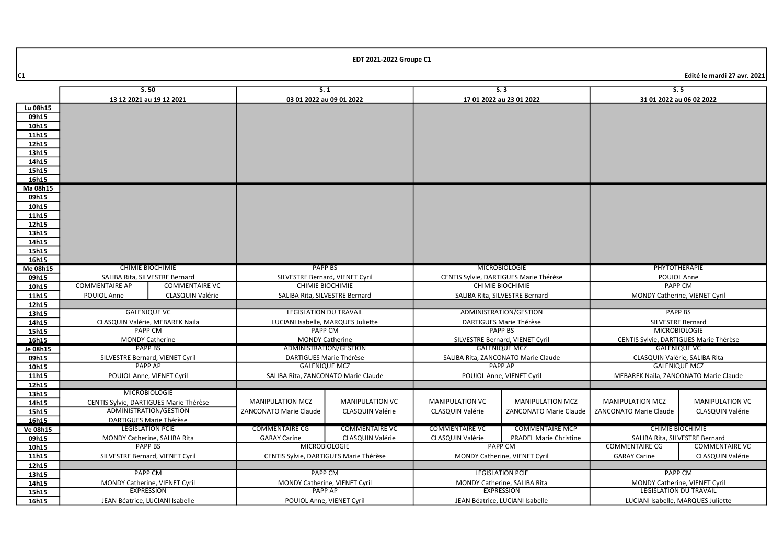|          | S.50<br>13 12 2021 au 19 12 2021       |                       | S.1<br>03 01 2022 au 09 01 2022                 |                         | S.3<br>17 01 2022 au 23 01 2022        |                                     | S.5<br>31 01 2022 au 06 02 2022                                |                        |
|----------|----------------------------------------|-----------------------|-------------------------------------------------|-------------------------|----------------------------------------|-------------------------------------|----------------------------------------------------------------|------------------------|
| Lu 08h15 |                                        |                       |                                                 |                         |                                        |                                     |                                                                |                        |
| 09h15    |                                        |                       |                                                 |                         |                                        |                                     |                                                                |                        |
| 10h15    |                                        |                       |                                                 |                         |                                        |                                     |                                                                |                        |
| 11h15    |                                        |                       |                                                 |                         |                                        |                                     |                                                                |                        |
| 12h15    |                                        |                       |                                                 |                         |                                        |                                     |                                                                |                        |
| 13h15    |                                        |                       |                                                 |                         |                                        |                                     |                                                                |                        |
| 14h15    |                                        |                       |                                                 |                         |                                        |                                     |                                                                |                        |
| 15h15    |                                        |                       |                                                 |                         |                                        |                                     |                                                                |                        |
| 16h15    |                                        |                       |                                                 |                         |                                        |                                     |                                                                |                        |
| Ma 08h15 |                                        |                       |                                                 |                         |                                        |                                     |                                                                |                        |
| 09h15    |                                        |                       |                                                 |                         |                                        |                                     |                                                                |                        |
| 10h15    |                                        |                       |                                                 |                         |                                        |                                     |                                                                |                        |
| 11h15    |                                        |                       |                                                 |                         |                                        |                                     |                                                                |                        |
| 12h15    |                                        |                       |                                                 |                         |                                        |                                     |                                                                |                        |
| 13h15    |                                        |                       |                                                 |                         |                                        |                                     |                                                                |                        |
| 14h15    |                                        |                       |                                                 |                         |                                        |                                     |                                                                |                        |
| 15h15    |                                        |                       |                                                 |                         |                                        |                                     |                                                                |                        |
| 16h15    |                                        |                       |                                                 |                         |                                        |                                     |                                                                |                        |
| Me 08h15 | <b>CHIMIE BIOCHIMIE</b>                |                       | <b>PAPP BS</b>                                  |                         | <b>MICROBIOLOGIE</b>                   |                                     | PHYTOTHERAPIE                                                  |                        |
| 09h15    | SALIBA Rita, SILVESTRE Bernard         |                       | SILVESTRE Bernard, VIENET Cyril                 |                         | CENTIS Sylvie, DARTIGUES Marie Thérèse |                                     | POUIOL Anne                                                    |                        |
| 10h15    | <b>COMMENTAIRE AP</b>                  | <b>COMMENTAIRE VC</b> | <b>CHIMIE BIOCHIMIE</b>                         |                         | <b>CHIMIE BIOCHIMIE</b>                |                                     | <b>PAPP CM</b>                                                 |                        |
| 11h15    | POUIOL Anne<br><b>CLASQUIN Valérie</b> |                       | SALIBA Rita, SILVESTRE Bernard                  |                         | SALIBA Rita, SILVESTRE Bernard         |                                     | <b>MONDY Catherine, VIENET Cyril</b>                           |                        |
| 12h15    |                                        |                       |                                                 |                         |                                        |                                     |                                                                |                        |
| 13h15    | <b>GALENIQUE VC</b>                    |                       | <b>LEGISLATION DU TRAVAIL</b>                   |                         |                                        | ADMINISTRATION/GESTION              |                                                                | <b>PAPP BS</b>         |
| 14h15    | CLASQUIN Valérie, MEBAREK Naila        |                       | LUCIANI Isabelle, MARQUES Juliette              |                         |                                        | DARTIGUES Marie Thérèse             | <b>SILVESTRE Bernard</b>                                       |                        |
| 15h15    | <b>PAPP CM</b>                         |                       | <b>PAPP CM</b>                                  |                         |                                        | <b>PAPP BS</b>                      | <b>MICROBIOLOGIE</b>                                           |                        |
| 16h15    | <b>MONDY Catherine</b>                 |                       | <b>MONDY Catherine</b>                          |                         |                                        | SILVESTRE Bernard, VIENET Cyril     | CENTIS Sylvie, DARTIGUES Marie Thérèse                         |                        |
| Je 08h15 | <b>PAPP BS</b>                         |                       | ADMINISTRATION/GESTION                          |                         |                                        | <b>GALENIQUE MCZ</b>                |                                                                | <b>GALENIQUE VC</b>    |
| 09h15    | SILVESTRE Bernard, VIENET Cyril        |                       |                                                 | DARTIGUES Marie Thérèse |                                        | SALIBA Rita, ZANCONATO Marie Claude | CLASQUIN Valérie, SALIBA Rita                                  |                        |
| 10h15    | PAPP AP                                |                       | <b>GALENIQUE MCZ</b>                            |                         | PAPP AP                                |                                     | <b>GALENIQUE MCZ</b>                                           |                        |
| 11h15    | POUIOL Anne, VIENET Cyril              |                       | SALIBA Rita, ZANCONATO Marie Claude             |                         | POUIOL Anne, VIENET Cyril              |                                     | MEBAREK Naila, ZANCONATO Marie Claude                          |                        |
| 12h15    |                                        |                       |                                                 |                         |                                        |                                     |                                                                |                        |
| 13h15    | <b>MICROBIOLOGIE</b>                   |                       |                                                 |                         |                                        |                                     |                                                                |                        |
| 14h15    | CENTIS Sylvie, DARTIGUES Marie Thérèse |                       | <b>MANIPULATION MCZ</b>                         | <b>MANIPULATION VC</b>  | <b>MANIPULATION VC</b>                 | <b>MANIPULATION MCZ</b>             | <b>MANIPULATION MCZ</b>                                        | <b>MANIPULATION VC</b> |
| 15h15    | ADMINISTRATION/GESTION                 |                       | ZANCONATO Marie Claude                          | <b>CLASQUIN Valérie</b> | <b>CLASQUIN Valérie</b>                | <b>ZANCONATO Marie Claude</b>       | <b>ZANCONATO Marie Claude</b>                                  | CLASQUIN Valérie       |
| 16h15    | DARTIGUES Marie Thérèse                |                       |                                                 |                         |                                        |                                     |                                                                |                        |
| Ve 08h15 | <b>LEGISLATION PCIE</b>                |                       | <b>COMMENTAIRE CG</b>                           | <b>COMMENTAIRE VC</b>   | <b>COMMENTAIRE VC</b>                  | <b>COMMENTAIRE MCP</b>              | <b>CHIMIE BIOCHIMIE</b>                                        |                        |
| 09h15    | MONDY Catherine, SALIBA Rita           |                       | <b>GARAY Carine</b>                             | CLASQUIN Valérie        | CLASQUIN Valérie                       | <b>PRADEL Marie Christine</b>       | SALIBA Rita, SILVESTRE Bernard                                 |                        |
| 10h15    | <b>PAPP BS</b>                         |                       | <b>MICROBIOLOGIE</b>                            |                         | <b>PAPP CM</b>                         |                                     | <b>COMMENTAIRE CG</b>                                          | <b>COMMENTAIRE VC</b>  |
| 11h15    | SILVESTRE Bernard, VIENET Cyril        |                       | CENTIS Sylvie, DARTIGUES Marie Thérèse          |                         | MONDY Catherine, VIENET Cyril          |                                     | <b>GARAY Carine</b>                                            | CLASQUIN Valérie       |
| 12h15    |                                        |                       |                                                 |                         |                                        |                                     |                                                                |                        |
| 13h15    | <b>PAPP CM</b>                         |                       | <b>PAPP CM</b>                                  |                         | <b>LEGISLATION PCIE</b>                |                                     | <b>PAPP CM</b>                                                 |                        |
| 14h15    | MONDY Catherine, VIENET Cyril          |                       | MONDY Catherine, VIENET Cyril<br><b>PAPP AP</b> |                         |                                        | MONDY Catherine, SALIBA Rita        | MONDY Catherine, VIENET Cyril<br><b>LEGISLATION DU TRAVAIL</b> |                        |
| 15h15    | <b>EXPRESSION</b>                      |                       |                                                 |                         |                                        | <b>EXPRESSION</b>                   |                                                                |                        |
| 16h15    | JEAN Béatrice, LUCIANI Isabelle        |                       | POUIOL Anne, VIENET Cyril                       |                         | JEAN Béatrice, LUCIANI Isabelle        |                                     | LUCIANI Isabelle, MARQUES Juliette                             |                        |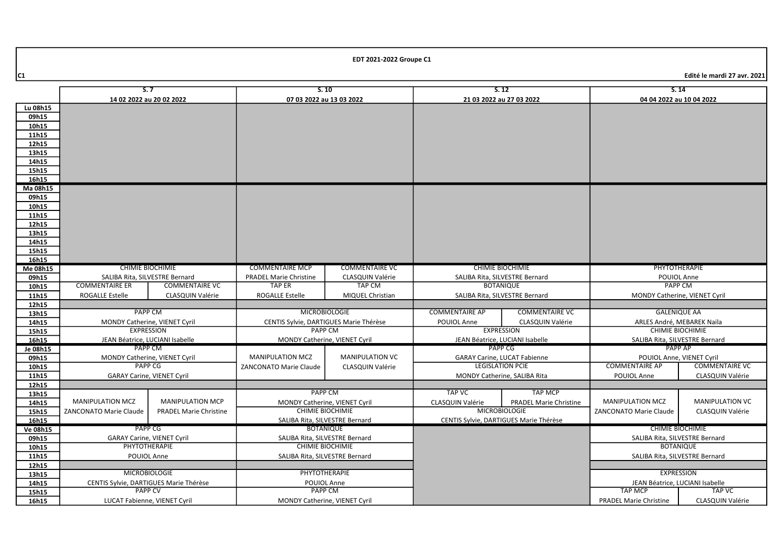|          | S.7<br>S.10                            |                                 | S.12                                              |                       | S.14                                |                                        |                                 |                               |
|----------|----------------------------------------|---------------------------------|---------------------------------------------------|-----------------------|-------------------------------------|----------------------------------------|---------------------------------|-------------------------------|
|          | 14 02 2022 au 20 02 2022               |                                 | 07 03 2022 au 13 03 2022                          |                       | 21 03 2022 au 27 03 2022            |                                        | 04 04 2022 au 10 04 2022        |                               |
| Lu 08h15 |                                        |                                 |                                                   |                       |                                     |                                        |                                 |                               |
| 09h15    |                                        |                                 |                                                   |                       |                                     |                                        |                                 |                               |
| 10h15    |                                        |                                 |                                                   |                       |                                     |                                        |                                 |                               |
| 11h15    |                                        |                                 |                                                   |                       |                                     |                                        |                                 |                               |
| 12h15    |                                        |                                 |                                                   |                       |                                     |                                        |                                 |                               |
| 13h15    |                                        |                                 |                                                   |                       |                                     |                                        |                                 |                               |
| 14h15    |                                        |                                 |                                                   |                       |                                     |                                        |                                 |                               |
| 15h15    |                                        |                                 |                                                   |                       |                                     |                                        |                                 |                               |
| 16h15    |                                        |                                 |                                                   |                       |                                     |                                        |                                 |                               |
| Ma 08h15 |                                        |                                 |                                                   |                       |                                     |                                        |                                 |                               |
| 09h15    |                                        |                                 |                                                   |                       |                                     |                                        |                                 |                               |
| 10h15    |                                        |                                 |                                                   |                       |                                     |                                        |                                 |                               |
| 11h15    |                                        |                                 |                                                   |                       |                                     |                                        |                                 |                               |
| 12h15    |                                        |                                 |                                                   |                       |                                     |                                        |                                 |                               |
| 13h15    |                                        |                                 |                                                   |                       |                                     |                                        |                                 |                               |
| 14h15    |                                        |                                 |                                                   |                       |                                     |                                        |                                 |                               |
| 15h15    |                                        |                                 |                                                   |                       |                                     |                                        |                                 |                               |
| 16h15    |                                        |                                 |                                                   |                       |                                     |                                        |                                 |                               |
| Me 08h15 | <b>CHIMIE BIOCHIMIE</b>                |                                 | <b>COMMENTAIRE MCP</b>                            | <b>COMMENTAIRE VC</b> | <b>CHIMIE BIOCHIMIE</b>             |                                        | PHYTOTHERAPIE                   |                               |
| 09h15    | SALIBA Rita, SILVESTRE Bernard         |                                 | <b>PRADEL Marie Christine</b>                     | CLASQUIN Valérie      | SALIBA Rita, SILVESTRE Bernard      |                                        | POUIOL Anne                     |                               |
| 10h15    | <b>COMMENTAIRE ER</b>                  | <b>COMMENTAIRE VC</b>           | TAP ER                                            | TAP CM                |                                     | <b>BOTANIQUE</b>                       | <b>PAPP CM</b>                  |                               |
| 11h15    | <b>ROGALLE Estelle</b>                 | CLASQUIN Valérie                | <b>ROGALLE Estelle</b>                            | MIQUEL Christian      |                                     | SALIBA Rita, SILVESTRE Bernard         |                                 | MONDY Catherine, VIENET Cyril |
| 12h15    |                                        |                                 |                                                   |                       |                                     |                                        |                                 |                               |
| 13h15    |                                        | <b>MICROBIOLOGIE</b><br>PAPP CM |                                                   | <b>COMMENTAIRE AP</b> | <b>COMMENTAIRE VC</b>               | <b>GALENIQUE AA</b>                    |                                 |                               |
| 14h15    | MONDY Catherine, VIENET Cyril          |                                 | CENTIS Sylvie, DARTIGUES Marie Thérèse            |                       | POUIOL Anne                         | CLASQUIN Valérie                       | ARLES André, MEBAREK Naila      |                               |
| 15h15    | <b>EXPRESSION</b>                      |                                 | <b>PAPP CM</b>                                    |                       |                                     | <b>EXPRESSION</b>                      | <b>CHIMIE BIOCHIMIE</b>         |                               |
| 16h15    |                                        | JEAN Béatrice, LUCIANI Isabelle | MONDY Catherine, VIENET Cyril                     |                       | JEAN Béatrice, LUCIANI Isabelle     |                                        | SALIBA Rita, SILVESTRE Bernard  |                               |
| Je 08h15 | <b>PAPP CM</b>                         |                                 |                                                   |                       |                                     | <b>PAPP CG</b>                         | <b>PAPP AP</b>                  |                               |
| 09h15    | MONDY Catherine, VIENET Cyril          |                                 | <b>MANIPULATION MCZ</b><br><b>MANIPULATION VC</b> |                       | <b>GARAY Carine, LUCAT Fabienne</b> |                                        | POUIOL Anne, VIENET Cyril       |                               |
| 10h15    |                                        | <b>PAPP CG</b>                  | ZANCONATO Marie Claude                            | CLASQUIN Valérie      |                                     | <b>LEGISLATION PCIE</b>                | <b>COMMENTAIRE AP</b>           | <b>COMMENTAIRE VC</b>         |
| 11h15    | <b>GARAY Carine, VIENET Cyril</b>      |                                 |                                                   |                       |                                     | MONDY Catherine, SALIBA Rita           | POUIOL Anne                     | CLASQUIN Valérie              |
| 12h15    |                                        |                                 |                                                   |                       |                                     |                                        |                                 |                               |
| 13h15    |                                        |                                 | <b>PAPP CM</b>                                    |                       | <b>TAP VC</b>                       | <b>TAP MCP</b>                         |                                 |                               |
| 14h15    | <b>MANIPULATION MCZ</b>                | <b>MANIPULATION MCP</b>         | <b>MONDY Catherine, VIENET Cyril</b>              |                       | CLASQUIN Valérie                    | <b>PRADEL Marie Christine</b>          | <b>MANIPULATION MCZ</b>         | <b>MANIPULATION VC</b>        |
| 15h15    | <b>ZANCONATO Marie Claude</b>          | <b>PRADEL Marie Christine</b>   | <b>CHIMIE BIOCHIMIE</b>                           |                       |                                     | <b>MICROBIOLOGIE</b>                   | <b>ZANCONATO Marie Claude</b>   | <b>CLASQUIN Valérie</b>       |
| 16h15    |                                        |                                 | SALIBA Rita, SILVESTRE Bernard                    |                       |                                     | CENTIS Sylvie, DARTIGUES Marie Thérèse |                                 |                               |
| Ve 08h15 |                                        | PAPP CG                         | <b>BOTANIQUE</b>                                  |                       |                                     |                                        | <b>CHIMIE BIOCHIMIE</b>         |                               |
| 09h15    | <b>GARAY Carine, VIENET Cyril</b>      |                                 | SALIBA Rita, SILVESTRE Bernard                    |                       |                                     |                                        | SALIBA Rita, SILVESTRE Bernard  |                               |
| 10h15    | <b>PHYTOTHERAPIE</b>                   |                                 | <b>CHIMIE BIOCHIMIE</b>                           |                       |                                     |                                        | <b>BOTANIQUE</b>                |                               |
| 11h15    | POUIOL Anne                            |                                 | SALIBA Rita, SILVESTRE Bernard                    |                       |                                     |                                        | SALIBA Rita, SILVESTRE Bernard  |                               |
| 12h15    |                                        |                                 |                                                   |                       |                                     |                                        |                                 |                               |
| 13h15    |                                        | <b>MICROBIOLOGIE</b>            | PHYTOTHERAPIE                                     |                       |                                     |                                        | <b>EXPRESSION</b>               |                               |
| 14h15    | CENTIS Sylvie, DARTIGUES Marie Thérèse |                                 | POUIOL Anne                                       |                       |                                     |                                        | JEAN Béatrice, LUCIANI Isabelle |                               |
| 15h15    | <b>PAPP CV</b>                         |                                 | <b>PAPP CM</b>                                    |                       |                                     |                                        | <b>TAP MCP</b>                  | TAP VC                        |
| 16h15    | LUCAT Fabienne, VIENET Cyril           |                                 | MONDY Catherine, VIENET Cyril                     |                       |                                     |                                        | <b>PRADEL Marie Christine</b>   | CLASQUIN Valérie              |